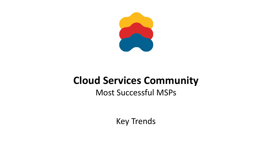

# **Cloud Services Community**

## Most Successful MSPs

Key Trends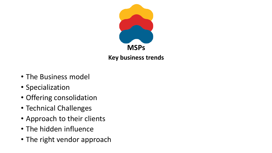

- The Business model
- Specialization
- Offering consolidation
- Technical Challenges
- Approach to their clients
- The hidden influence
- The right vendor approach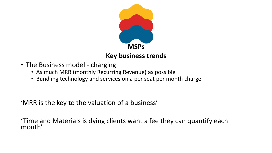

- The Business model charging
	- As much MRR (monthly Recurring Revenue) as possible
	- Bundling technology and services on a per seat per month charge

'MRR is the key to the valuation of a business'

'Time and Materials is dying clients want a fee they can quantify each month'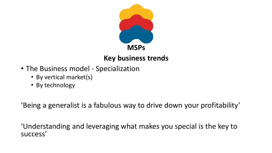

- The Business model Specialization
	- By vertical market(s)
	- By technology

'Being a generalist is a fabulous way to drive down your profitability'

'Understanding and leveraging what makes you special is the key to success'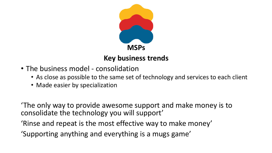

- The business model consolidation
	- As close as possible to the same set of technology and services to each client
	- Made easier by specialization

'The only way to provide awesome support and make money is to consolidate the technology you will support'

- 'Rinse and repeat is the most effective way to make money'
- 'Supporting anything and everything is a mugs game'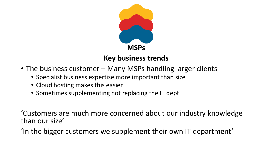

- The business customer Many MSPs handling larger clients
	- Specialist business expertise more important than size
	- Cloud hosting makes this easier
	- Sometimes supplementing not replacing the IT dept

'Customers are much more concerned about our industry knowledge than our size'

'In the bigger customers we supplement their own IT department'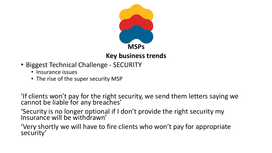

- Biggest Technical Challenge SECURITY
	- Insurance issues
	- The rise of the super security MSP

'If clients won't pay for the right security, we send them letters saying we cannot be liable for any breaches'

'Security is no longer optional if I don't provide the right security my Insurance will be withdrawn'

'Very shortly we will have to fire clients who won't pay for appropriate security'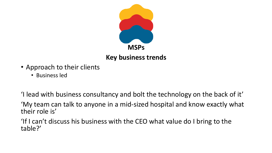

- Approach to their clients
	- Business led

'I lead with business consultancy and bolt the technology on the back of it'

'My team can talk to anyone in a mid-sized hospital and know exactly what their role is'

'If I can't discuss his business with the CEO what value do I bring to the table?'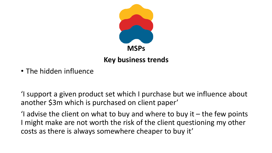

• The hidden influence

'I support a given product set which I purchase but we influence about another \$3m which is purchased on client paper'

'I advise the client on what to buy and where to buy it  $-$  the few points I might make are not worth the risk of the client questioning my other costs as there is always somewhere cheaper to buy it'